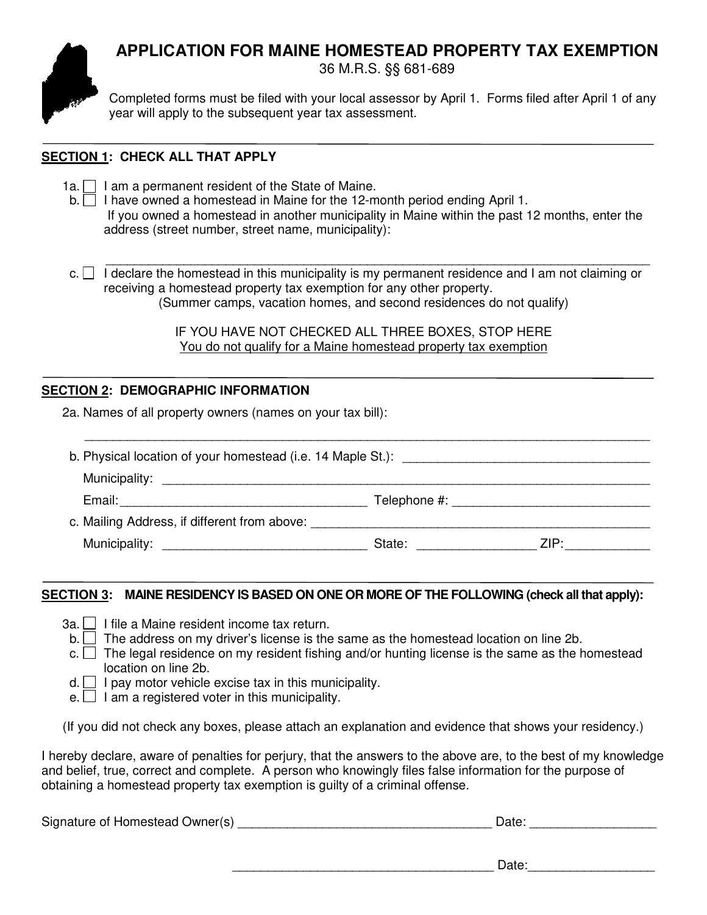# **APPLICATION FOR MAINE HOMESTEAD PROPERTY TAX EXEMPTION**



36 M.R.S. §§ 681-689

Completed forms must be filed with your local assessor by April 1. Forms filed after April 1 of any year will apply to the subsequent year tax assessment.

## **SECTION 1: CHECK ALL THAT APPLY**

 $1a.$  I am a permanent resident of the State of Maine.

b. I have owned a homestead in Maine for the 12-month period ending April 1. If you owned a homestead in another municipality in Maine within the past 12 months, enter the address (street number, street name, municipality):

 \_\_\_\_\_\_\_\_\_\_\_\_\_\_\_\_\_\_\_\_\_\_\_\_\_\_\_\_\_\_\_\_\_\_\_\_\_\_\_\_\_\_\_\_\_\_\_\_\_\_\_\_\_\_\_\_\_\_\_\_\_\_\_\_\_\_\_\_\_\_\_\_\_\_\_\_\_ c.  $\Box$  I declare the homestead in this municipality is my permanent residence and I am not claiming or receiving a homestead property tax exemption for any other property. (Summer camps, vacation homes, and second residences do not qualify)

> IF YOU HAVE NOT CHECKED ALL THREE BOXES, STOP HERE You do not qualify for a Maine homestead property tax exemption

## **SECTION 2: DEMOGRAPHIC INFORMATION**

2a. Names of all property owners (names on your tax bill):

| b. Physical location of your homestead (i.e. 14 Maple St.): |                                                                                                                                                                                                                                |      |
|-------------------------------------------------------------|--------------------------------------------------------------------------------------------------------------------------------------------------------------------------------------------------------------------------------|------|
|                                                             |                                                                                                                                                                                                                                |      |
| Email:                                                      |                                                                                                                                                                                                                                |      |
| c. Mailing Address, if different from above:                |                                                                                                                                                                                                                                |      |
|                                                             | State: The State of the State of the State of the State of the State of the State of the State of the State of the State of the State of the State of the State of the State of the State of the State of the State of the Sta | ZIP: |

\_\_\_\_\_\_\_\_\_\_\_\_\_\_\_\_\_\_\_\_\_\_\_\_\_\_\_\_\_\_\_\_\_\_\_\_\_\_\_\_\_\_\_\_\_\_\_\_\_\_\_\_\_\_\_\_\_\_\_\_\_\_\_\_\_\_\_\_\_\_\_\_\_\_\_\_\_\_\_\_

### **SECTION 3: MAINE RESIDENCY IS BASED ON ONE OR MORE OF THE FOLLOWING (check all that apply):**

- $3a.$  I file a Maine resident income tax return.
- $b.$  The address on my driver's license is the same as the homestead location on line 2b.
- $c.$  The legal residence on my resident fishing and/or hunting license is the same as the homestead location on line 2b.
- $d.$  I pay motor vehicle excise tax in this municipality.
- $e.$  I am a registered voter in this municipality.

(If you did not check any boxes, please attach an explanation and evidence that shows your residency.)

I hereby declare, aware of penalties for perjury, that the answers to the above are, to the best of my knowledge and belief, true, correct and complete. A person who knowingly files false information for the purpose of obtaining a homestead property tax exemption is guilty of a criminal offense.

| Signature of Homestead Owner(s) | Date: |
|---------------------------------|-------|
|                                 |       |

\_\_\_\_\_\_\_\_\_\_\_\_\_\_\_\_\_\_\_\_\_\_\_\_\_\_\_\_\_\_\_\_\_\_\_\_\_ Date:\_\_\_\_\_\_\_\_\_\_\_\_\_\_\_\_\_\_